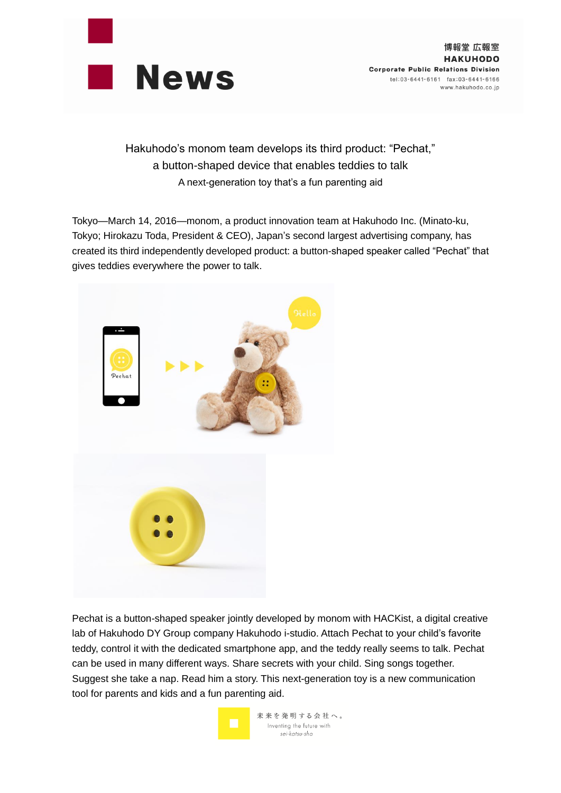

博報堂 広報室 **HAKUHODO Corporate Public Relations Division** tel:03-6441-6161 fax:03-6441-6166 www.hakuhodo.co.jp

Hakuhodo's monom team develops its third product: "Pechat," a button-shaped device that enables teddies to talk A next-generation toy that's a fun parenting aid

Tokyo—March 14, 2016—monom, a product innovation team at Hakuhodo Inc. (Minato-ku, Tokyo; Hirokazu Toda, President & CEO), Japan's second largest advertising company, has created its third independently developed product: a button-shaped speaker called "Pechat" that gives teddies everywhere the power to talk.



Pechat is a button-shaped speaker jointly developed by monom with HACKist, a digital creative lab of Hakuhodo DY Group company Hakuhodo i-studio. Attach Pechat to your child's favorite teddy, control it with the dedicated smartphone app, and the teddy really seems to talk. Pechat can be used in many different ways. Share secrets with your child. Sing songs together. Suggest she take a nap. Read him a story. This next-generation toy is a new communication tool for parents and kids and a fun parenting aid.

> 未来を発明する会社へ。 Inventing the future with sei-katsu-sha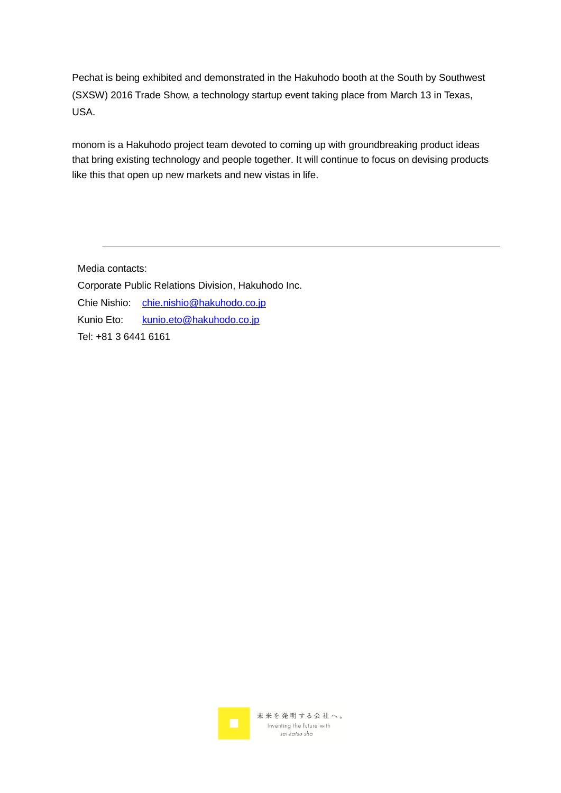Pechat is being exhibited and demonstrated in the Hakuhodo booth at the South by Southwest (SXSW) 2016 Trade Show, a technology startup event taking place from March 13 in Texas, USA.

monom is a Hakuhodo project team devoted to coming up with groundbreaking product ideas that bring existing technology and people together. It will continue to focus on devising products like this that open up new markets and new vistas in life.

Media contacts:

Corporate Public Relations Division, Hakuhodo Inc.

Chie Nishio: [chie.nishio@hakuhodo.co.jp](mailto:CHIE.NISHIO@hakuhodo.co.jp)

Kunio Eto: [kunio.eto@hakuhodo.co.jp](mailto:kunio.eto@hakuhodo.co.jp)

Tel: +81 3 6441 6161

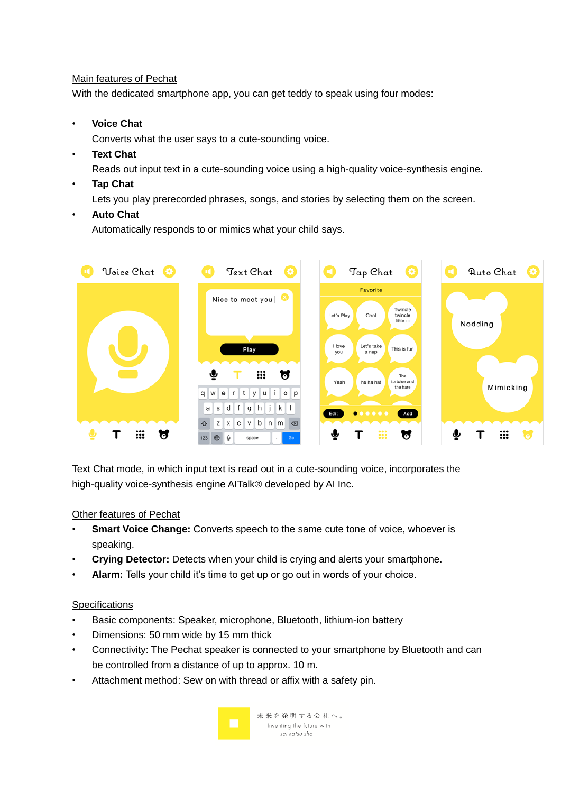## Main features of Pechat

With the dedicated smartphone app, you can get teddy to speak using four modes:

• **Voice Chat**

Converts what the user says to a cute-sounding voice.

## • **Text Chat**

Reads out input text in a cute-sounding voice using a high-quality voice-synthesis engine.

• **Tap Chat**

Lets you play prerecorded phrases, songs, and stories by selecting them on the screen.

## • **Auto Chat**

Automatically responds to or mimics what your child says.



Text Chat mode, in which input text is read out in a cute-sounding voice, incorporates the high-quality voice-synthesis engine AITalk® developed by AI Inc.

# Other features of Pechat

- **Smart Voice Change:** Converts speech to the same cute tone of voice, whoever is speaking.
- **Crying Detector:** Detects when your child is crying and alerts your smartphone.
- **Alarm:** Tells your child it's time to get up or go out in words of your choice.

## **Specifications**

- Basic components: Speaker, microphone, Bluetooth, lithium-ion battery
- Dimensions: 50 mm wide by 15 mm thick
- Connectivity: The Pechat speaker is connected to your smartphone by Bluetooth and can be controlled from a distance of up to approx. 10 m.
- Attachment method: Sew on with thread or affix with a safety pin.

未来を発明する会社へ。 Inventing the future with sei-katsu-sha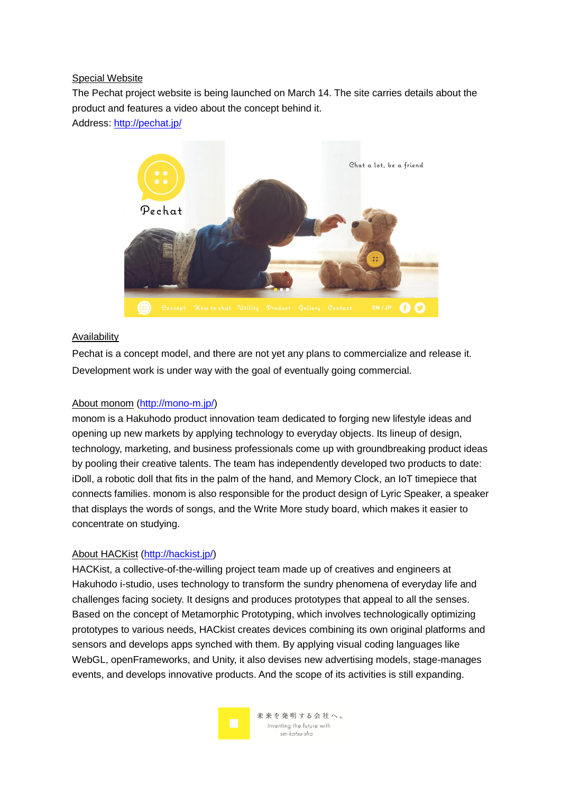#### Special Website

The Pechat project website is being launched on March 14. The site carries details about the product and features a video about the concept behind it.

Address:<http://pechat.jp/>



## Availability

Pechat is a concept model, and there are not yet any plans to commercialize and release it. Development work is under way with the goal of eventually going commercial.

## About monom [\(http://mono-m.jp/\)](http://mono-m.jp/)

monom is a Hakuhodo product innovation team dedicated to forging new lifestyle ideas and opening up new markets by applying technology to everyday objects. Its lineup of design, technology, marketing, and business professionals come up with groundbreaking product ideas by pooling their creative talents. The team has independently developed two products to date: iDoll, a robotic doll that fits in the palm of the hand, and Memory Clock, an IoT timepiece that connects families. monom is also responsible for the product design of Lyric Speaker, a speaker that displays the words of songs, and the Write More study board, which makes it easier to concentrate on studying.

## About HACKist [\(http://hackist.jp/\)](http://hackist.jp/)

HACKist, a collective-of-the-willing project team made up of creatives and engineers at Hakuhodo i-studio, uses technology to transform the sundry phenomena of everyday life and challenges facing society. It designs and produces prototypes that appeal to all the senses. Based on the concept of Metamorphic Prototyping, which involves technologically optimizing prototypes to various needs, HACkist creates devices combining its own original platforms and sensors and develops apps synched with them. By applying visual coding languages like WebGL, openFrameworks, and Unity, it also devises new advertising models, stage-manages events, and develops innovative products. And the scope of its activities is still expanding.



未来を発明する会社へ。 Inventing the future with sei-katsu-sha